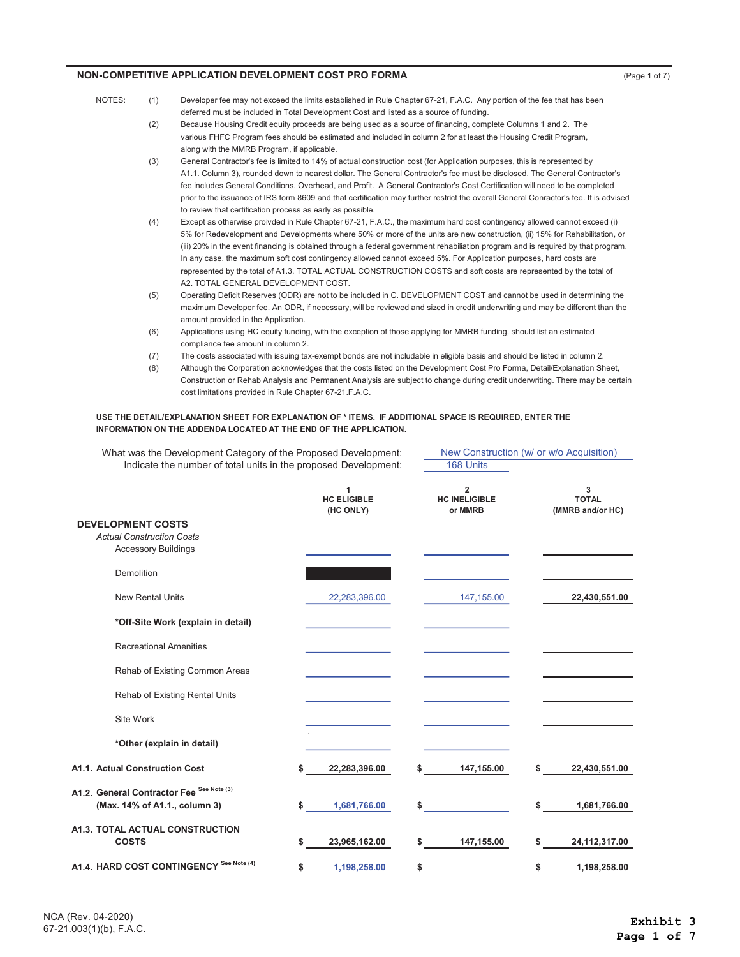- NOTES: (1) Developer fee may not exceed the limits established in Rule Chapter 67-21, F.A.C. Any portion of the fee that has been deferred must be included in Total Development Cost and listed as a source of funding.
	- (2) Because Housing Credit equity proceeds are being used as a source of financing, complete Columns 1 and 2. The various FHFC Program fees should be estimated and included in column 2 for at least the Housing Credit Program, along with the MMRB Program, if applicable.
	- (3) General Contractor's fee is limited to 14% of actual construction cost (for Application purposes, this is represented by A1.1. Column 3), rounded down to nearest dollar. The General Contractor's fee must be disclosed. The General Contractor's fee includes General Conditions, Overhead, and Profit. A General Contractor's Cost Certification will need to be completed prior to the issuance of IRS form 8609 and that certification may further restrict the overall General Conractor's fee. It is advised to review that certification process as early as possible.
	- (4) Except as otherwise proivded in Rule Chapter 67-21, F.A.C., the maximum hard cost contingency allowed cannot exceed (i) 5% for Redevelopment and Developments where 50% or more of the units are new construction, (ii) 15% for Rehabilitation, or (iii) 20% in the event financing is obtained through a federal government rehabiliation program and is required by that program. In any case, the maximum soft cost contingency allowed cannot exceed 5%. For Application purposes, hard costs are represented by the total of A1.3. TOTAL ACTUAL CONSTRUCTION COSTS and soft costs are represented by the total of A2. TOTAL GENERAL DEVELOPMENT COST.
	- (5) Operating Deficit Reserves (ODR) are not to be included in C. DEVELOPMENT COST and cannot be used in determining the maximum Developer fee. An ODR, if necessary, will be reviewed and sized in credit underwriting and may be different than the amount provided in the Application.
	- (6) Applications using HC equity funding, with the exception of those applying for MMRB funding, should list an estimated compliance fee amount in column 2.
	- (7) The costs associated with issuing tax-exempt bonds are not includable in eligible basis and should be listed in column 2.
	- (8) Although the Corporation acknowledges that the costs listed on the Development Cost Pro Forma, Detail/Explanation Sheet, Construction or Rehab Analysis and Permanent Analysis are subject to change during credit underwriting. There may be certain cost limitations provided in Rule Chapter 67-21.F.A.C.

New Construction (w/ or w/o Acquisition)

#### USE THE DETAIL/EXPLANATION SHEET FOR EXPLANATION OF \* ITEMS. IF ADDITIONAL SPACE IS REQUIRED, ENTER THE INFORMATION ON THE ADDENDA LOCATED AT THE END OF THE APPLICATION.

| What was the Development Category of the Proposed Development:                             |    |                                      | New Construction (w/ or w/o Acquisition) |                                                   |    |                                       |
|--------------------------------------------------------------------------------------------|----|--------------------------------------|------------------------------------------|---------------------------------------------------|----|---------------------------------------|
| Indicate the number of total units in the proposed Development:                            |    |                                      |                                          | 168 Units                                         |    |                                       |
|                                                                                            |    | 1<br><b>HC ELIGIBLE</b><br>(HC ONLY) |                                          | $\overline{2}$<br><b>HC INELIGIBLE</b><br>or MMRB |    | 3<br><b>TOTAL</b><br>(MMRB and/or HC) |
| <b>DEVELOPMENT COSTS</b><br><b>Actual Construction Costs</b><br><b>Accessory Buildings</b> |    |                                      |                                          |                                                   |    |                                       |
| Demolition                                                                                 |    |                                      |                                          |                                                   |    |                                       |
| <b>New Rental Units</b>                                                                    |    | 22,283,396.00                        |                                          | 147,155.00                                        |    | 22,430,551.00                         |
| *Off-Site Work (explain in detail)                                                         |    |                                      |                                          |                                                   |    |                                       |
| <b>Recreational Amenities</b>                                                              |    |                                      |                                          |                                                   |    |                                       |
| Rehab of Existing Common Areas                                                             |    |                                      |                                          |                                                   |    |                                       |
| Rehab of Existing Rental Units                                                             |    |                                      |                                          |                                                   |    |                                       |
| Site Work                                                                                  |    |                                      |                                          |                                                   |    |                                       |
| *Other (explain in detail)                                                                 |    |                                      |                                          |                                                   |    |                                       |
| A1.1. Actual Construction Cost                                                             | \$ | 22,283,396.00                        | S                                        | 147,155.00                                        | S  | 22,430,551.00                         |
| A1.2. General Contractor Fee <sup>See Note (3)</sup>                                       |    |                                      |                                          |                                                   |    |                                       |
| (Max. 14% of A1.1., column 3)                                                              | \$ | 1,681,766.00                         | \$                                       |                                                   | \$ | 1,681,766.00                          |
| A1.3. TOTAL ACTUAL CONSTRUCTION<br><b>COSTS</b>                                            | \$ | 23,965,162.00                        | \$                                       | 147,155.00                                        | \$ | 24,112,317.00                         |
| A1.4. HARD COST CONTINGENCY See Note (4)                                                   | \$ | 1,198,258.00                         | \$                                       |                                                   | \$ | 1,198,258.00                          |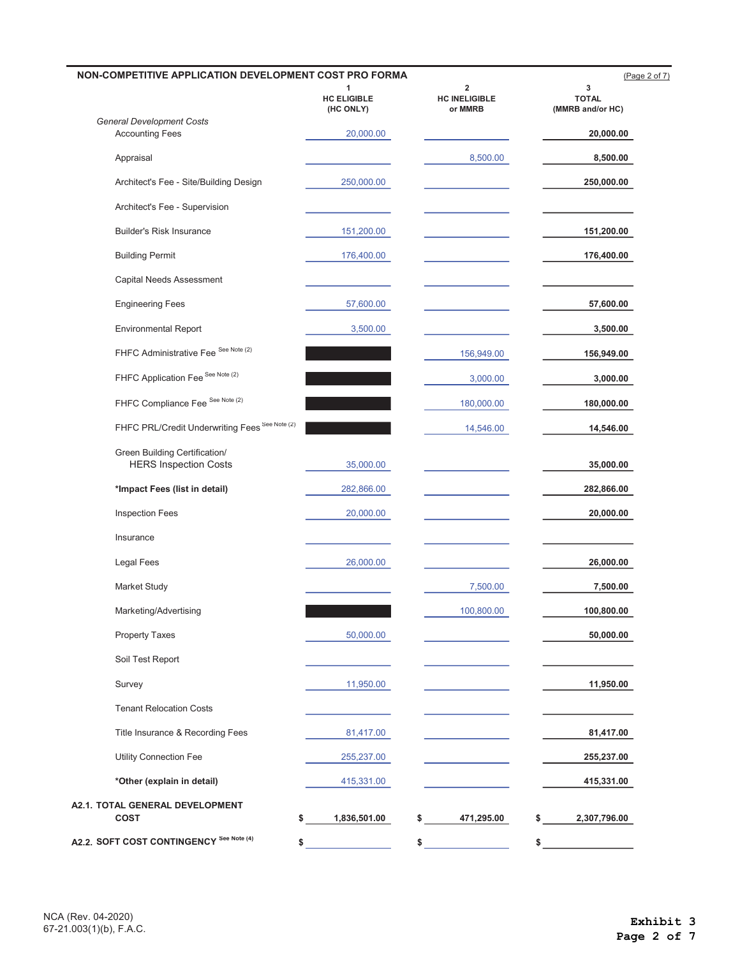|                                                               | 1                        | $\overline{\mathbf{2}}$         | 3                                |
|---------------------------------------------------------------|--------------------------|---------------------------------|----------------------------------|
|                                                               | HC ELIGIBLE<br>(HC ONLY) | <b>HC INELIGIBLE</b><br>or MMRB | <b>TOTAL</b><br>(MMRB and/or HC) |
| <b>General Development Costs</b><br><b>Accounting Fees</b>    | 20,000.00                |                                 | 20,000.00                        |
| Appraisal                                                     |                          | 8,500.00                        | 8,500.00                         |
| Architect's Fee - Site/Building Design                        | 250,000.00               |                                 | 250,000.00                       |
| Architect's Fee - Supervision                                 |                          |                                 |                                  |
| <b>Builder's Risk Insurance</b>                               | 151,200.00               |                                 | 151,200.00                       |
| <b>Building Permit</b>                                        | 176,400.00               |                                 | 176,400.00                       |
| Capital Needs Assessment                                      |                          |                                 |                                  |
| <b>Engineering Fees</b>                                       | 57,600.00                |                                 | 57,600.00                        |
| <b>Environmental Report</b>                                   | 3,500.00                 |                                 | 3,500.00                         |
| FHFC Administrative Fee See Note (2)                          |                          | 156,949.00                      | 156,949.00                       |
| FHFC Application Fee See Note (2)                             |                          | 3,000.00                        | 3,000.00                         |
| FHFC Compliance Fee See Note (2)                              |                          | 180,000.00                      | 180,000.00                       |
| FHFC PRL/Credit Underwriting Fees See Note (2)                |                          | 14,546.00                       | 14,546.00                        |
| Green Building Certification/<br><b>HERS Inspection Costs</b> | 35,000.00                |                                 | 35,000.00                        |
| *Impact Fees (list in detail)                                 | 282,866.00               |                                 | 282,866.00                       |
| <b>Inspection Fees</b>                                        | 20,000.00                |                                 | 20,000.00                        |
| Insurance                                                     |                          |                                 |                                  |
| <b>Legal Fees</b>                                             | 26,000.00                |                                 | 26,000.00                        |
| Market Study                                                  |                          | 7,500.00                        | 7,500.00                         |
| Marketing/Advertising                                         |                          | 100,800.00                      | 100,800.00                       |
| <b>Property Taxes</b>                                         | 50,000.00                |                                 | 50,000.00                        |
| Soil Test Report                                              |                          |                                 |                                  |
| Survey                                                        | 11,950.00                |                                 | 11,950.00                        |
| <b>Tenant Relocation Costs</b>                                |                          |                                 |                                  |
| Title Insurance & Recording Fees                              | 81,417.00                |                                 | 81,417.00                        |
| Utility Connection Fee                                        | 255,237.00               |                                 | 255,237.00                       |
| *Other (explain in detail)                                    | 415,331.00               |                                 | 415,331.00                       |
| A2.1. TOTAL GENERAL DEVELOPMENT<br><b>COST</b><br>\$          | 1,836,501.00             | \$<br>471,295.00                | \$<br>2,307,796.00               |

÷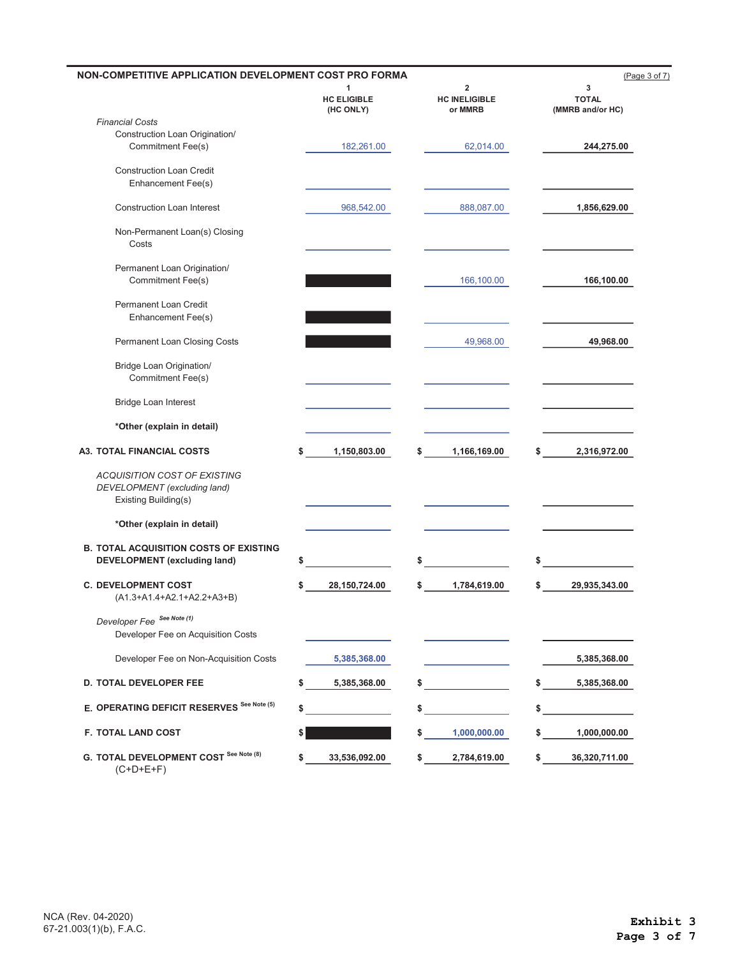| NON-COMPETITIVE APPLICATION DEVELOPMENT COST PRO FORMA                                      |                                      |                                                            | (Page 3 of 7)                         |
|---------------------------------------------------------------------------------------------|--------------------------------------|------------------------------------------------------------|---------------------------------------|
|                                                                                             | 1<br><b>HC ELIGIBLE</b><br>(HC ONLY) | $\overline{\mathbf{2}}$<br><b>HC INELIGIBLE</b><br>or MMRB | 3<br><b>TOTAL</b><br>(MMRB and/or HC) |
| <b>Financial Costs</b>                                                                      |                                      |                                                            |                                       |
| Construction Loan Origination/<br>Commitment Fee(s)                                         | 182,261.00                           | 62,014.00                                                  | 244,275.00                            |
| <b>Construction Loan Credit</b><br>Enhancement Fee(s)                                       |                                      |                                                            |                                       |
| <b>Construction Loan Interest</b>                                                           | 968,542.00                           | 888,087.00                                                 | 1,856,629.00                          |
| Non-Permanent Loan(s) Closing<br>Costs                                                      |                                      |                                                            |                                       |
| Permanent Loan Origination/<br>Commitment Fee(s)                                            |                                      | 166,100.00                                                 | 166,100.00                            |
| Permanent Loan Credit<br>Enhancement Fee(s)                                                 |                                      |                                                            |                                       |
| Permanent Loan Closing Costs                                                                |                                      | 49,968.00                                                  | 49,968.00                             |
| <b>Bridge Loan Origination/</b><br>Commitment Fee(s)                                        |                                      |                                                            |                                       |
| <b>Bridge Loan Interest</b>                                                                 |                                      |                                                            |                                       |
| *Other (explain in detail)                                                                  |                                      |                                                            |                                       |
| <b>A3. TOTAL FINANCIAL COSTS</b>                                                            | 1,150,803.00<br>\$                   | 1,166,169.00<br>\$                                         | 2,316,972.00<br>\$                    |
| <b>ACQUISITION COST OF EXISTING</b><br>DEVELOPMENT (excluding land)<br>Existing Building(s) |                                      |                                                            |                                       |
| *Other (explain in detail)                                                                  |                                      |                                                            |                                       |
| <b>B. TOTAL ACQUISITION COSTS OF EXISTING</b><br><b>DEVELOPMENT</b> (excluding land)        | \$                                   | \$                                                         | \$                                    |
| <b>C. DEVELOPMENT COST</b><br>(A1.3+A1.4+A2.1+A2.2+A3+B)                                    | 28,150,724.00<br>\$                  | 1,784,619.00<br>\$                                         | 29,935,343.00<br>\$                   |
| Developer Fee See Note (1)<br>Developer Fee on Acquisition Costs                            |                                      |                                                            |                                       |
| Developer Fee on Non-Acquisition Costs                                                      | 5,385,368.00                         |                                                            | 5,385,368.00                          |
| <b>D. TOTAL DEVELOPER FEE</b>                                                               | 5,385,368.00<br>\$                   |                                                            | 5,385,368.00                          |
| E. OPERATING DEFICIT RESERVES See Note (5)                                                  | \$                                   | \$                                                         | \$                                    |
| <b>F. TOTAL LAND COST</b>                                                                   |                                      | 1,000,000.00<br>s                                          | 1,000,000.00                          |
| G. TOTAL DEVELOPMENT COST See Note (8)<br>$(C+D+E+F)$                                       | 33,536,092.00<br>\$                  | 2,784,619.00                                               | 36,320,711.00<br>\$                   |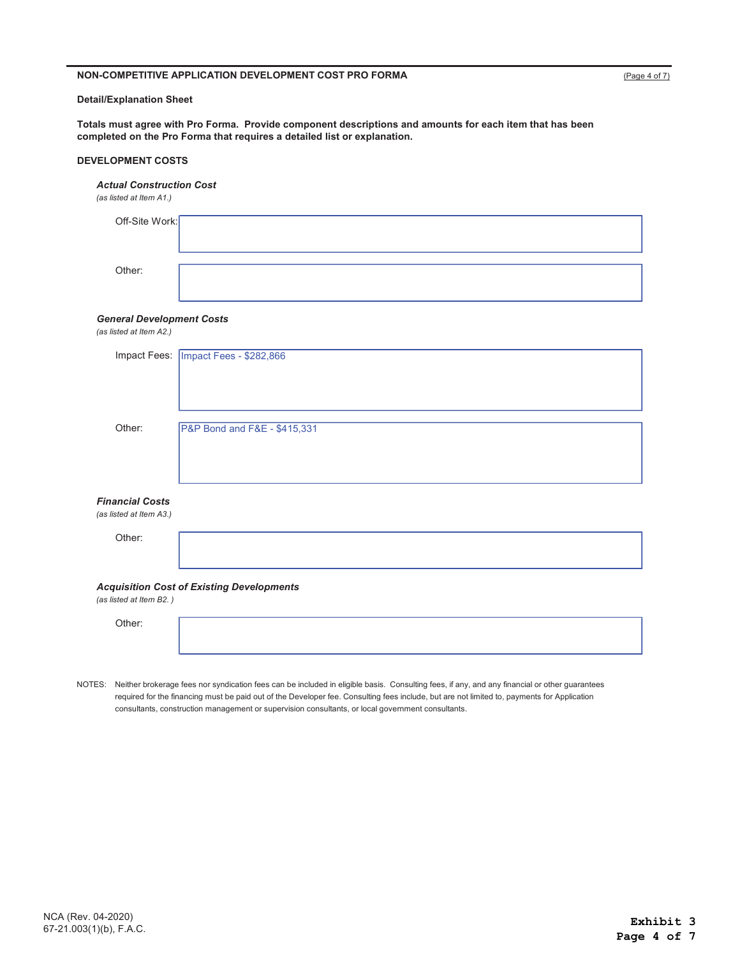#### Detail/Explanation Sheet

Totals must agree with Pro Forma. Provide component descriptions and amounts for each item that has been completed on the Pro Forma that requires a detailed list or explanation.

#### DEVELOPMENT COSTS

#### *Actual Construction Cost*

*(as listed at Item A1.)* 

| Off-Site Work: |  |
|----------------|--|
|                |  |
| Other:         |  |
|                |  |

#### *General Development Costs*

*(as listed at Item A2.)* 

|                         | Impact Fees: Impact Fees - \$282,866             |
|-------------------------|--------------------------------------------------|
|                         |                                                  |
|                         |                                                  |
|                         |                                                  |
| Other:                  | P&P Bond and F&E - \$415,331                     |
|                         |                                                  |
|                         |                                                  |
|                         |                                                  |
| <b>Financial Costs</b>  |                                                  |
| (as listed at Item A3.) |                                                  |
| Other:                  |                                                  |
|                         |                                                  |
|                         |                                                  |
| (as listed at Item B2.) | <b>Acquisition Cost of Existing Developments</b> |
|                         |                                                  |
| Other:                  |                                                  |

 NOTES: Neither brokerage fees nor syndication fees can be included in eligible basis. Consulting fees, if any, and any financial or other guarantees required for the financing must be paid out of the Developer fee. Consulting fees include, but are not limited to, payments for Application consultants, construction management or supervision consultants, or local government consultants.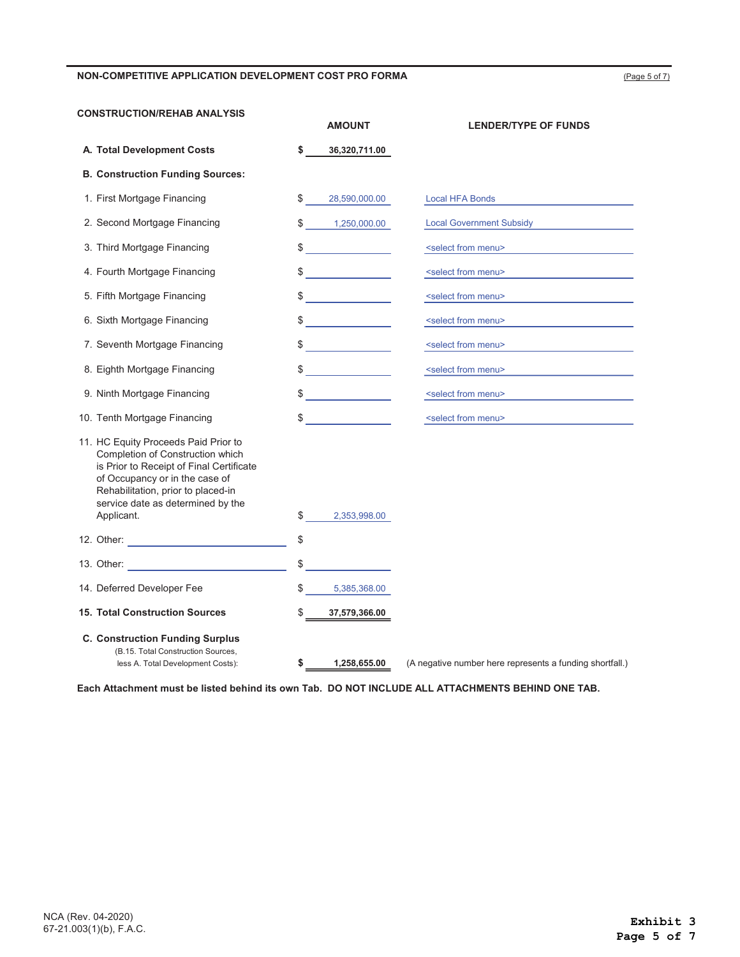(Page 5 of 7)

| <b>CONSTRUCTION/REHAB ANALYSIS</b>                                                                                                                                                                                                              |                      | <b>AMOUNT</b>                                                                                                                                                                                                                                                                                                                                                                                                                   | <b>LENDER/TYPE OF FUNDS</b>                              |
|-------------------------------------------------------------------------------------------------------------------------------------------------------------------------------------------------------------------------------------------------|----------------------|---------------------------------------------------------------------------------------------------------------------------------------------------------------------------------------------------------------------------------------------------------------------------------------------------------------------------------------------------------------------------------------------------------------------------------|----------------------------------------------------------|
| A. Total Development Costs                                                                                                                                                                                                                      | \$                   | 36,320,711.00                                                                                                                                                                                                                                                                                                                                                                                                                   |                                                          |
| <b>B. Construction Funding Sources:</b>                                                                                                                                                                                                         |                      |                                                                                                                                                                                                                                                                                                                                                                                                                                 |                                                          |
| 1. First Mortgage Financing                                                                                                                                                                                                                     | \$                   | 28,590,000.00                                                                                                                                                                                                                                                                                                                                                                                                                   | <b>Local HFA Bonds</b>                                   |
| 2. Second Mortgage Financing                                                                                                                                                                                                                    |                      | \$1,250,000.00                                                                                                                                                                                                                                                                                                                                                                                                                  | <b>Local Government Subsidy</b>                          |
| 3. Third Mortgage Financing                                                                                                                                                                                                                     |                      | $\frac{1}{2}$                                                                                                                                                                                                                                                                                                                                                                                                                   | <select from="" menu=""></select>                        |
| 4. Fourth Mortgage Financing                                                                                                                                                                                                                    |                      | $\frac{1}{\sqrt{2}}$                                                                                                                                                                                                                                                                                                                                                                                                            | <select from="" menu=""></select>                        |
| 5. Fifth Mortgage Financing                                                                                                                                                                                                                     |                      | $\frac{1}{\sqrt{2}}$                                                                                                                                                                                                                                                                                                                                                                                                            | <select from="" menu=""></select>                        |
| 6. Sixth Mortgage Financing                                                                                                                                                                                                                     |                      | $\frac{1}{\sqrt{1-\frac{1}{2}}}\frac{1}{\sqrt{1-\frac{1}{2}}}\frac{1}{\sqrt{1-\frac{1}{2}}}\frac{1}{\sqrt{1-\frac{1}{2}}}\frac{1}{\sqrt{1-\frac{1}{2}}}\frac{1}{\sqrt{1-\frac{1}{2}}}\frac{1}{\sqrt{1-\frac{1}{2}}}\frac{1}{\sqrt{1-\frac{1}{2}}}\frac{1}{\sqrt{1-\frac{1}{2}}}\frac{1}{\sqrt{1-\frac{1}{2}}}\frac{1}{\sqrt{1-\frac{1}{2}}}\frac{1}{\sqrt{1-\frac{1}{2}}}\frac{1}{\sqrt{1-\frac{1}{2}}}\frac{1}{\sqrt{1-\frac{$ | <select from="" menu=""></select>                        |
| 7. Seventh Mortgage Financing                                                                                                                                                                                                                   |                      | $\sim$                                                                                                                                                                                                                                                                                                                                                                                                                          | <select from="" menu=""></select>                        |
| 8. Eighth Mortgage Financing                                                                                                                                                                                                                    |                      | $\begin{picture}(20,20) \put(0,0){\line(1,0){10}} \put(15,0){\line(1,0){10}} \put(15,0){\line(1,0){10}} \put(15,0){\line(1,0){10}} \put(15,0){\line(1,0){10}} \put(15,0){\line(1,0){10}} \put(15,0){\line(1,0){10}} \put(15,0){\line(1,0){10}} \put(15,0){\line(1,0){10}} \put(15,0){\line(1,0){10}} \put(15,0){\line(1,0){10}} \put(15,0){\line(1$                                                                             | <select from="" menu=""></select>                        |
| 9. Ninth Mortgage Financing                                                                                                                                                                                                                     |                      | $\frac{1}{\sqrt{1-\frac{1}{2}}}\frac{1}{\sqrt{1-\frac{1}{2}}}\frac{1}{\sqrt{1-\frac{1}{2}}}\frac{1}{\sqrt{1-\frac{1}{2}}}\frac{1}{\sqrt{1-\frac{1}{2}}}\frac{1}{\sqrt{1-\frac{1}{2}}}\frac{1}{\sqrt{1-\frac{1}{2}}}\frac{1}{\sqrt{1-\frac{1}{2}}}\frac{1}{\sqrt{1-\frac{1}{2}}}\frac{1}{\sqrt{1-\frac{1}{2}}}\frac{1}{\sqrt{1-\frac{1}{2}}}\frac{1}{\sqrt{1-\frac{1}{2}}}\frac{1}{\sqrt{1-\frac{1}{2}}}\frac{1}{\sqrt{1-\frac{$ | <select from="" menu=""></select>                        |
| 10. Tenth Mortgage Financing                                                                                                                                                                                                                    |                      | $\sim$                                                                                                                                                                                                                                                                                                                                                                                                                          | <select from="" menu=""></select>                        |
| 11. HC Equity Proceeds Paid Prior to<br>Completion of Construction which<br>is Prior to Receipt of Final Certificate<br>of Occupancy or in the case of<br>Rehabilitation, prior to placed-in<br>service date as determined by the<br>Applicant. | $\frac{1}{\sqrt{2}}$ | 2,353,998.00                                                                                                                                                                                                                                                                                                                                                                                                                    |                                                          |
| 12. Other: <u>_______________________________</u>                                                                                                                                                                                               | \$                   |                                                                                                                                                                                                                                                                                                                                                                                                                                 |                                                          |
|                                                                                                                                                                                                                                                 | \$                   |                                                                                                                                                                                                                                                                                                                                                                                                                                 |                                                          |
| 14. Deferred Developer Fee                                                                                                                                                                                                                      | \$                   | 5,385,368.00                                                                                                                                                                                                                                                                                                                                                                                                                    |                                                          |
| <b>15. Total Construction Sources</b>                                                                                                                                                                                                           | \$                   | 37,579,366.00                                                                                                                                                                                                                                                                                                                                                                                                                   |                                                          |
| <b>C. Construction Funding Surplus</b><br>(B.15. Total Construction Sources,<br>less A. Total Development Costs):                                                                                                                               | \$                   | 1,258,655.00                                                                                                                                                                                                                                                                                                                                                                                                                    | (A negative number here represents a funding shortfall.) |

Each Attachment must be listed behind its own Tab. DO NOT INCLUDE ALL ATTACHMENTS BEHIND ONE TAB.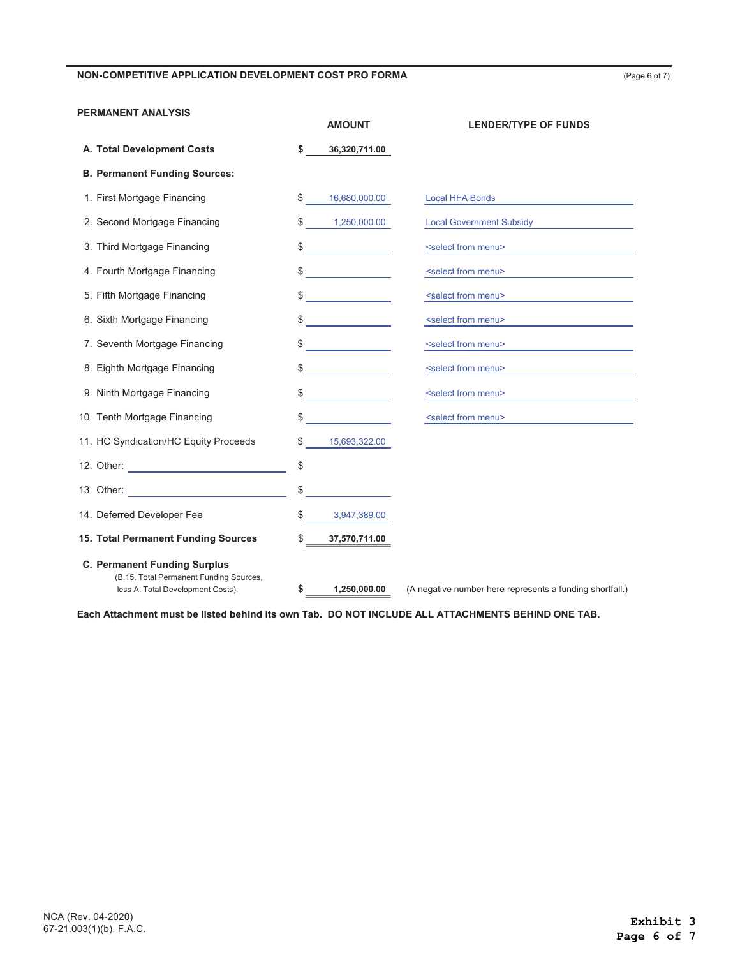## PERMANENT ANALYSIS

|                                                                                                                     | <b>AMOUNT</b>                           | <b>LENDER/TYPE OF FUNDS</b>                              |
|---------------------------------------------------------------------------------------------------------------------|-----------------------------------------|----------------------------------------------------------|
| A. Total Development Costs                                                                                          | \$<br>36,320,711.00                     |                                                          |
| <b>B. Permanent Funding Sources:</b>                                                                                |                                         |                                                          |
| 1. First Mortgage Financing                                                                                         | \$<br>16,680,000.00                     | <b>Local HFA Bonds</b>                                   |
| 2. Second Mortgage Financing                                                                                        | \$<br>1,250,000.00                      | <b>Local Government Subsidy</b>                          |
| 3. Third Mortgage Financing                                                                                         | \$                                      | <select from="" menu=""></select>                        |
| 4. Fourth Mortgage Financing                                                                                        | \$<br><u>and the state of the state</u> | <select from="" menu=""></select>                        |
| 5. Fifth Mortgage Financing                                                                                         | \$                                      | <select from="" menu=""></select>                        |
| 6. Sixth Mortgage Financing                                                                                         | $\sim$                                  | <select from="" menu=""></select>                        |
| 7. Seventh Mortgage Financing                                                                                       | <u> 1999 - Jan Jawa</u><br>\$           | <select from="" menu=""></select>                        |
| 8. Eighth Mortgage Financing                                                                                        | <u> 1999 - Jan Jawa</u><br>\$           | <select from="" menu=""></select>                        |
| 9. Ninth Mortgage Financing                                                                                         |                                         | <select from="" menu=""></select>                        |
| 10. Tenth Mortgage Financing                                                                                        | \$                                      | <select from="" menu=""></select>                        |
| 11. HC Syndication/HC Equity Proceeds                                                                               | \$<br>15,693,322.00                     |                                                          |
|                                                                                                                     | \$                                      |                                                          |
|                                                                                                                     |                                         |                                                          |
| 14. Deferred Developer Fee                                                                                          | \$<br>3,947,389.00                      |                                                          |
| 15. Total Permanent Funding Sources                                                                                 | \$<br>37,570,711.00                     |                                                          |
| <b>C. Permanent Funding Surplus</b><br>(B.15. Total Permanent Funding Sources,<br>less A. Total Development Costs): | \$<br>1,250,000.00                      | (A negative number here represents a funding shortfall.) |

Each Attachment must be listed behind its own Tab. DO NOT INCLUDE ALL ATTACHMENTS BEHIND ONE TAB.